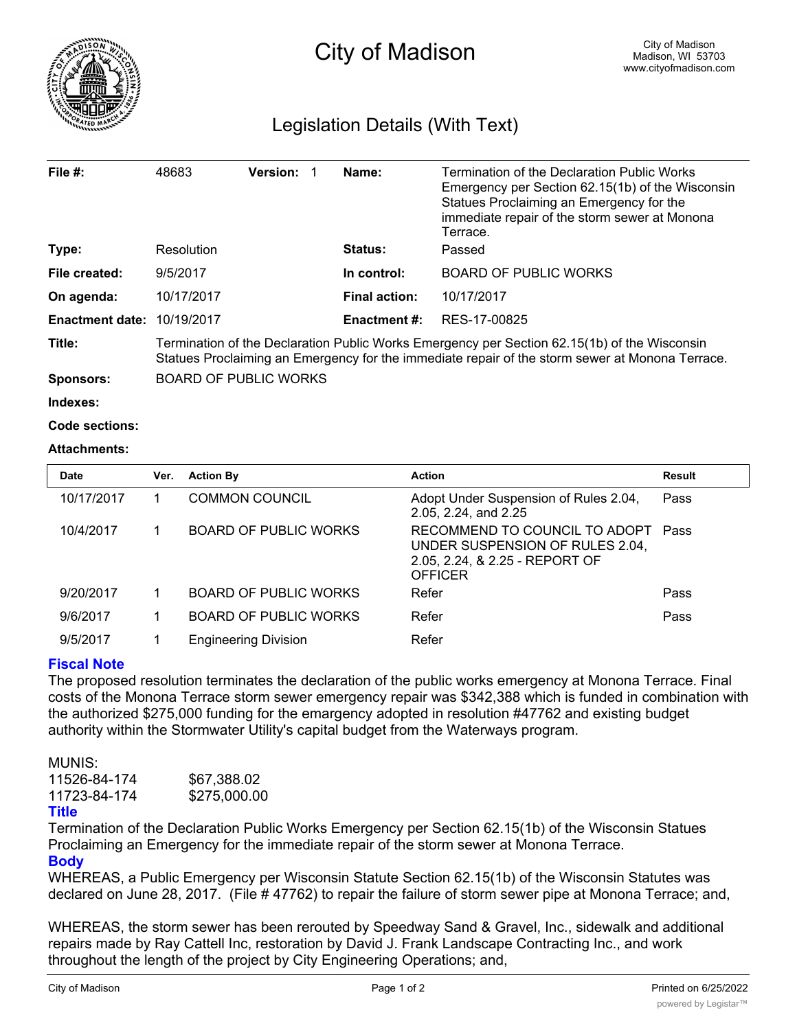

## Legislation Details (With Text)

| File $#$ :             | 48683                                                                                                                                                                                           | <b>Version:</b> |  | Name:                | Termination of the Declaration Public Works<br>Emergency per Section 62.15(1b) of the Wisconsin<br>Statues Proclaiming an Emergency for the<br>immediate repair of the storm sewer at Monona |  |  |
|------------------------|-------------------------------------------------------------------------------------------------------------------------------------------------------------------------------------------------|-----------------|--|----------------------|----------------------------------------------------------------------------------------------------------------------------------------------------------------------------------------------|--|--|
| Type:                  | Resolution                                                                                                                                                                                      |                 |  | <b>Status:</b>       | Terrace.<br>Passed                                                                                                                                                                           |  |  |
| File created:          | 9/5/2017                                                                                                                                                                                        |                 |  | In control:          | <b>BOARD OF PUBLIC WORKS</b>                                                                                                                                                                 |  |  |
| On agenda:             | 10/17/2017                                                                                                                                                                                      |                 |  | <b>Final action:</b> | 10/17/2017                                                                                                                                                                                   |  |  |
| <b>Enactment date:</b> | 10/19/2017                                                                                                                                                                                      |                 |  | <b>Enactment #:</b>  | RES-17-00825                                                                                                                                                                                 |  |  |
| Title:                 | Termination of the Declaration Public Works Emergency per Section 62.15(1b) of the Wisconsin<br>Statues Proclaiming an Emergency for the immediate repair of the storm sewer at Monona Terrace. |                 |  |                      |                                                                                                                                                                                              |  |  |
| <b>Sponsors:</b>       | <b>BOARD OF PUBLIC WORKS</b>                                                                                                                                                                    |                 |  |                      |                                                                                                                                                                                              |  |  |
| Indexes:               |                                                                                                                                                                                                 |                 |  |                      |                                                                                                                                                                                              |  |  |
| Code sections:         |                                                                                                                                                                                                 |                 |  |                      |                                                                                                                                                                                              |  |  |

## **Attachments:**

| <b>Date</b> | Ver. | <b>Action By</b>             | <b>Action</b>                                                                                                        | <b>Result</b> |
|-------------|------|------------------------------|----------------------------------------------------------------------------------------------------------------------|---------------|
| 10/17/2017  |      | <b>COMMON COUNCIL</b>        | Adopt Under Suspension of Rules 2.04,<br>2.05, 2.24, and 2.25                                                        | Pass          |
| 10/4/2017   |      | <b>BOARD OF PUBLIC WORKS</b> | RECOMMEND TO COUNCIL TO ADOPT<br>UNDER SUSPENSION OF RULES 2.04,<br>2.05, 2.24, & 2.25 - REPORT OF<br><b>OFFICER</b> | Pass          |
| 9/20/2017   |      | <b>BOARD OF PUBLIC WORKS</b> | Refer                                                                                                                | Pass          |
| 9/6/2017    |      | <b>BOARD OF PUBLIC WORKS</b> | Refer                                                                                                                | Pass          |
| 9/5/2017    |      | <b>Engineering Division</b>  | Refer                                                                                                                |               |

## **Fiscal Note**

The proposed resolution terminates the declaration of the public works emergency at Monona Terrace. Final costs of the Monona Terrace storm sewer emergency repair was \$342,388 which is funded in combination with the authorized \$275,000 funding for the emargency adopted in resolution #47762 and existing budget authority within the Stormwater Utility's capital budget from the Waterways program.

MUNIS: 11526-84-174 \$67,388.02 11723-84-174 \$275,000.00

## **Title**

Termination of the Declaration Public Works Emergency per Section 62.15(1b) of the Wisconsin Statues Proclaiming an Emergency for the immediate repair of the storm sewer at Monona Terrace. **Body**

WHEREAS, a Public Emergency per Wisconsin Statute Section 62.15(1b) of the Wisconsin Statutes was declared on June 28, 2017. (File # 47762) to repair the failure of storm sewer pipe at Monona Terrace; and,

WHEREAS, the storm sewer has been rerouted by Speedway Sand & Gravel, Inc., sidewalk and additional repairs made by Ray Cattell Inc, restoration by David J. Frank Landscape Contracting Inc., and work throughout the length of the project by City Engineering Operations; and,